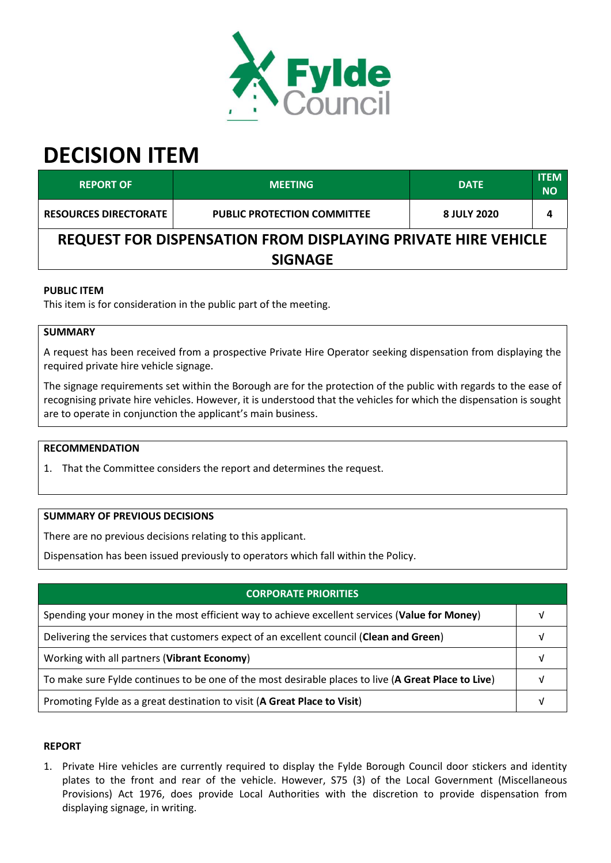

# **DECISION ITEM**

| <b>REPORT OF</b>                                                     | <b>MEETING</b>                     | <b>DATE</b> | <b>ITEM</b><br><b>NO</b> |  |  |  |
|----------------------------------------------------------------------|------------------------------------|-------------|--------------------------|--|--|--|
| <b>RESOURCES DIRECTORATE</b>                                         | <b>PUBLIC PROTECTION COMMITTEE</b> | 8 JULY 2020 | 4                        |  |  |  |
| <b>REQUEST FOR DISPENSATION FROM DISPLAYING PRIVATE HIRE VEHICLE</b> |                                    |             |                          |  |  |  |
| <b>SIGNAGE</b>                                                       |                                    |             |                          |  |  |  |

### **PUBLIC ITEM**

This item is for consideration in the public part of the meeting.

## **SUMMARY**

A request has been received from a prospective Private Hire Operator seeking dispensation from displaying the required private hire vehicle signage.

The signage requirements set within the Borough are for the protection of the public with regards to the ease of recognising private hire vehicles. However, it is understood that the vehicles for which the dispensation is sought are to operate in conjunction the applicant's main business.

#### **RECOMMENDATION**

1. That the Committee considers the report and determines the request.

#### **SUMMARY OF PREVIOUS DECISIONS**

There are no previous decisions relating to this applicant.

Dispensation has been issued previously to operators which fall within the Policy.

| <b>CORPORATE PRIORITIES</b>                                                                         |  |  |
|-----------------------------------------------------------------------------------------------------|--|--|
| Spending your money in the most efficient way to achieve excellent services (Value for Money)       |  |  |
| Delivering the services that customers expect of an excellent council (Clean and Green)             |  |  |
| Working with all partners (Vibrant Economy)                                                         |  |  |
| To make sure Fylde continues to be one of the most desirable places to live (A Great Place to Live) |  |  |
| Promoting Fylde as a great destination to visit (A Great Place to Visit)                            |  |  |

#### **REPORT**

1. Private Hire vehicles are currently required to display the Fylde Borough Council door stickers and identity plates to the front and rear of the vehicle. However, S75 (3) of the Local Government (Miscellaneous Provisions) Act 1976, does provide Local Authorities with the discretion to provide dispensation from displaying signage, in writing.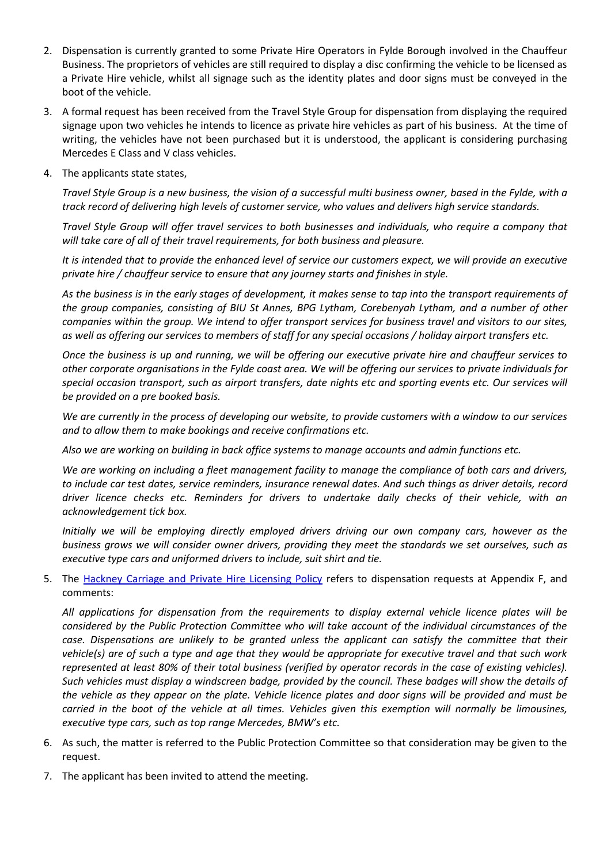- 2. Dispensation is currently granted to some Private Hire Operators in Fylde Borough involved in the Chauffeur Business. The proprietors of vehicles are still required to display a disc confirming the vehicle to be licensed as a Private Hire vehicle, whilst all signage such as the identity plates and door signs must be conveyed in the boot of the vehicle.
- 3. A formal request has been received from the Travel Style Group for dispensation from displaying the required signage upon two vehicles he intends to licence as private hire vehicles as part of his business. At the time of writing, the vehicles have not been purchased but it is understood, the applicant is considering purchasing Mercedes E Class and V class vehicles.
- 4. The applicants state states,

*Travel Style Group is a new business, the vision of a successful multi business owner, based in the Fylde, with a track record of delivering high levels of customer service, who values and delivers high service standards.* 

*Travel Style Group will offer travel services to both businesses and individuals, who require a company that will take care of all of their travel requirements, for both business and pleasure.* 

*It is intended that to provide the enhanced level of service our customers expect, we will provide an executive private hire / chauffeur service to ensure that any journey starts and finishes in style.* 

*As the business is in the early stages of development, it makes sense to tap into the transport requirements of the group companies, consisting of BIU St Annes, BPG Lytham, Corebenyah Lytham, and a number of other companies within the group. We intend to offer transport services for business travel and visitors to our sites, as well as offering our services to members of staff for any special occasions / holiday airport transfers etc.* 

*Once the business is up and running, we will be offering our executive private hire and chauffeur services to other corporate organisations in the Fylde coast area. We will be offering our services to private individuals for special occasion transport, such as airport transfers, date nights etc and sporting events etc. Our services will be provided on a pre booked basis.* 

*We are currently in the process of developing our website, to provide customers with a window to our services and to allow them to make bookings and receive confirmations etc.* 

*Also we are working on building in back office systems to manage accounts and admin functions etc.* 

*We are working on including a fleet management facility to manage the compliance of both cars and drivers, to include car test dates, service reminders, insurance renewal dates. And such things as driver details, record driver licence checks etc. Reminders for drivers to undertake daily checks of their vehicle, with an acknowledgement tick box.* 

*Initially we will be employing directly employed drivers driving our own company cars, however as the business grows we will consider owner drivers, providing they meet the standards we set ourselves, such as executive type cars and uniformed drivers to include, suit shirt and tie.* 

5. The [Hackney Carriage and Private Hire Licensing Policy](http://www.fylde.gov.uk/assets/files/11/Hackney-Carriage-and-Private-Hire-Licensing-Policy.pdf) refers to dispensation requests at Appendix F, and comments:

*All applications for dispensation from the requirements to display external vehicle licence plates will be considered by the Public Protection Committee who will take account of the individual circumstances of the case. Dispensations are unlikely to be granted unless the applicant can satisfy the committee that their vehicle(s) are of such a type and age that they would be appropriate for executive travel and that such work represented at least 80% of their total business (verified by operator records in the case of existing vehicles). Such vehicles must display a windscreen badge, provided by the council. These badges will show the details of the vehicle as they appear on the plate. Vehicle licence plates and door signs will be provided and must be carried in the boot of the vehicle at all times. Vehicles given this exemption will normally be limousines, executive type cars, such as top range Mercedes, BMW's etc.*

- 6. As such, the matter is referred to the Public Protection Committee so that consideration may be given to the request.
- 7. The applicant has been invited to attend the meeting.